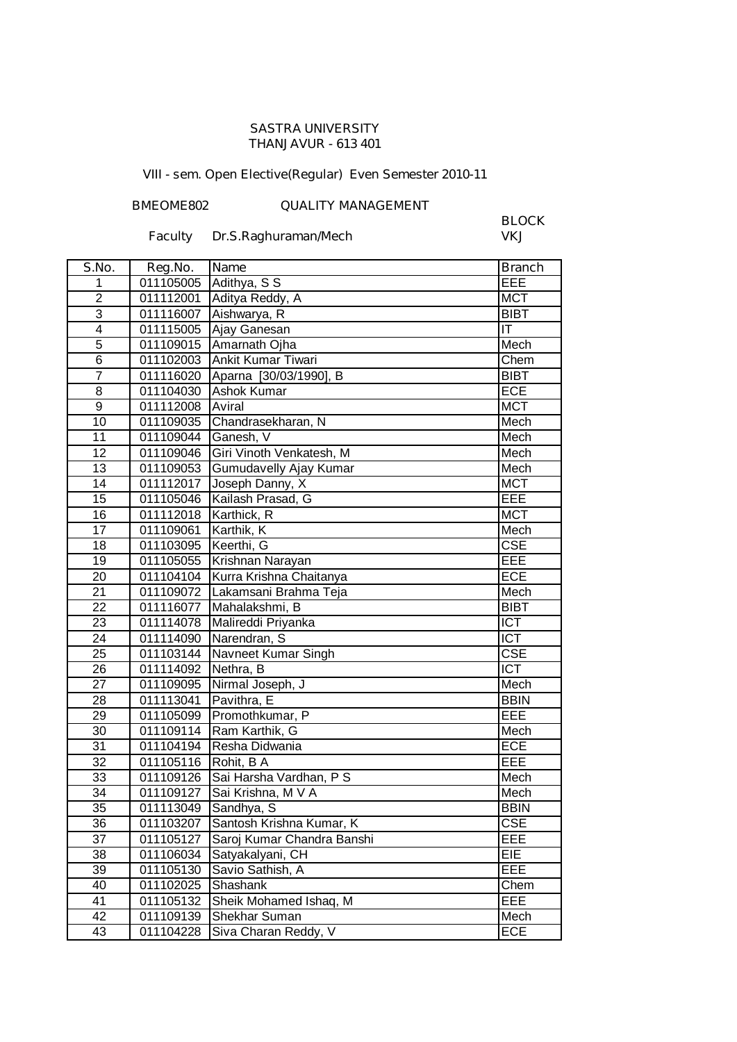#### **SASTRA UNIVERSITY THANJAVUR - 613 401**

# **VIII - sem. Open Elective(Regular) Even Semester 2010-11**

## **BMEOME802 QUALITY MANAGEMENT**

## **Faculty Dr.S.Raghuraman/Mech**

**BLOCK**

| S.No.           | Reg.No.   | <b>Name</b>                | <b>Branch</b>           |
|-----------------|-----------|----------------------------|-------------------------|
| 1               | 011105005 | Adithya, S S               | EEE                     |
| $\overline{2}$  | 011112001 | Aditya Reddy, A            | <b>MCT</b>              |
| 3               | 011116007 | Aishwarya, R               | <b>BIBT</b>             |
| $\overline{4}$  | 011115005 | Ajay Ganesan               | IT                      |
| $\overline{5}$  | 011109015 | Amarnath Ojha              | Mech                    |
| 6               | 011102003 | Ankit Kumar Tiwari         | Chem                    |
| $\overline{7}$  | 011116020 | Aparna [30/03/1990], B     | <b>BIBT</b>             |
| 8               | 011104030 | Ashok Kumar                | ECE                     |
| 9               | 011112008 | Aviral                     | <b>MCT</b>              |
| $\overline{10}$ | 011109035 | Chandrasekharan, N         | Mech                    |
| 11              | 011109044 | Ganesh, V                  | Mech                    |
| 12              | 011109046 | Giri Vinoth Venkatesh, M   | Mech                    |
| 13              | 011109053 | Gumudavelly Ajay Kumar     | Mech                    |
| 14              | 011112017 | Joseph Danny, X            | <b>MCT</b>              |
| 15              | 011105046 | Kailash Prasad, G          | EEE                     |
| 16              | 011112018 | Karthick, R                | <b>MCT</b>              |
| 17              | 011109061 | Karthik, K                 | Mech                    |
| 18              | 011103095 | Keerthi, G                 | $\overline{\text{CSE}}$ |
| 19              | 011105055 | Krishnan Narayan           | EEE                     |
| 20              | 011104104 | Kurra Krishna Chaitanya    | <b>ECE</b>              |
| 21              | 011109072 | Lakamsani Brahma Teja      | Mech                    |
| $\overline{22}$ | 011116077 | Mahalakshmi, B             | <b>BIBT</b>             |
| 23              | 011114078 | Malireddi Priyanka         | <b>ICT</b>              |
| 24              | 011114090 | Narendran, S               | $\overline{ICT}$        |
| 25              | 011103144 | Navneet Kumar Singh        | <b>CSE</b>              |
| 26              | 011114092 | Nethra, B                  | <b>ICT</b>              |
| 27              | 011109095 | Nirmal Joseph, J           | Mech                    |
| 28              | 011113041 | Pavithra, E                | <b>BBIN</b>             |
| 29              | 011105099 | Promothkumar, P            | EEE                     |
| 30              | 011109114 | Ram Karthik, G             | Mech                    |
| 31              | 011104194 | Resha Didwania             | ECE                     |
| 32              | 011105116 | Rohit, B A                 | EEE                     |
| 33              | 011109126 | Sai Harsha Vardhan, P S    | Mech                    |
| 34              | 011109127 | Sai Krishna, M V A         | Mech                    |
| 35              | 011113049 | Sandhya, S                 | <b>BBIN</b>             |
| 36              | 011103207 | Santosh Krishna Kumar, K   | <b>CSE</b>              |
| 37              | 011105127 | Saroj Kumar Chandra Banshi | EEE                     |
| 38              | 011106034 | Satyakalyani, CH           | <b>EIE</b>              |
| 39              | 011105130 | Savio Sathish, A           | EEE                     |
| 40              | 011102025 | Shashank                   | Chem                    |
| 41              | 011105132 | Sheik Mohamed Ishaq, M     | EEE                     |
| 42              | 011109139 | Shekhar Suman              | Mech                    |
| 43              | 011104228 | Siva Charan Reddy, V       | ECE                     |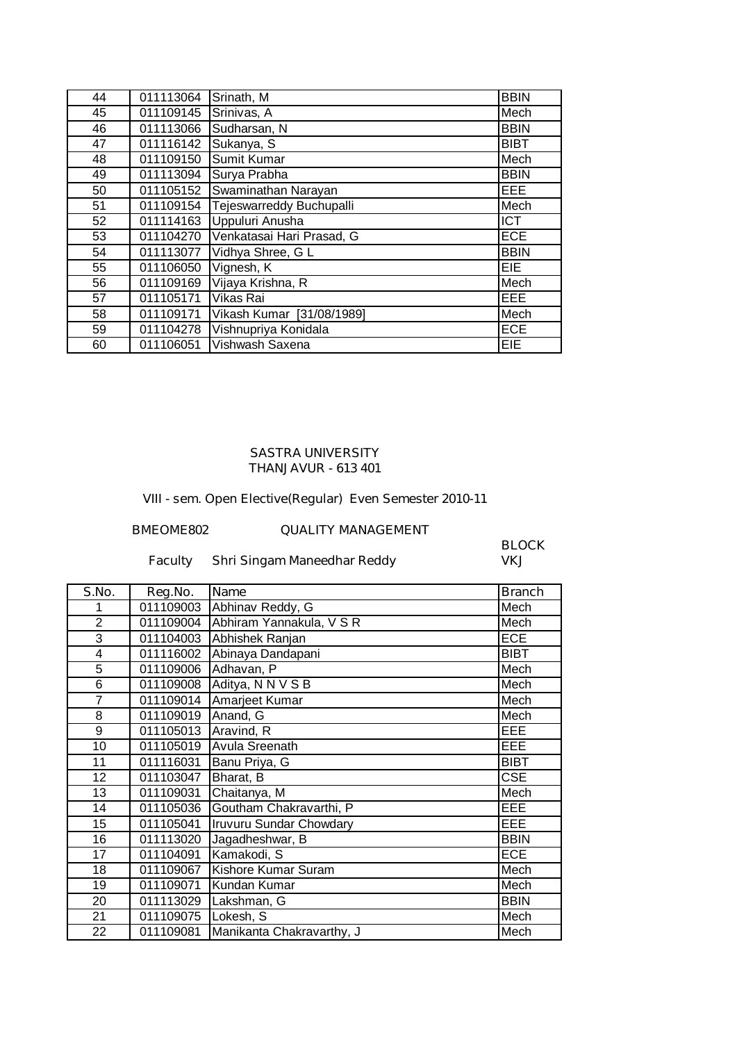| 44 | 011113064 | Srinath, M                | <b>BBIN</b> |
|----|-----------|---------------------------|-------------|
| 45 | 011109145 | Srinivas, A               | Mech        |
| 46 | 011113066 | Sudharsan, N              | <b>BBIN</b> |
| 47 | 011116142 | Sukanya, S                | <b>BIBT</b> |
| 48 | 011109150 | Sumit Kumar               | Mech        |
| 49 | 011113094 | Surya Prabha              | <b>BBIN</b> |
| 50 | 011105152 | Swaminathan Narayan       | <b>EEE</b>  |
| 51 | 011109154 | Tejeswarreddy Buchupalli  | Mech        |
| 52 | 011114163 | Uppuluri Anusha           | <b>ICT</b>  |
| 53 | 011104270 | Venkatasai Hari Prasad, G | <b>ECE</b>  |
| 54 | 011113077 | Vidhya Shree, G L         | <b>BBIN</b> |
| 55 | 011106050 | Vignesh, K                | EIE         |
| 56 | 011109169 | Vijaya Krishna, R         | Mech        |
| 57 | 011105171 | Vikas Rai                 | <b>EEE</b>  |
| 58 | 011109171 | Vikash Kumar [31/08/1989] | Mech        |
| 59 | 011104278 | Vishnupriya Konidala      | <b>ECE</b>  |
| 60 | 011106051 | Vishwash Saxena           | <b>EIE</b>  |

#### **THANJAVUR - 613 401 SASTRA UNIVERSITY**

**VIII - sem. Open Elective(Regular) Even Semester 2010-11**

# **BMEOME802 QUALITY MANAGEMENT**

## **Faculty** Shri Singam Maneedhar Reddy

**BLOCK**

| S.No.          | Reg.No.   | Name                           | <b>Branch</b> |
|----------------|-----------|--------------------------------|---------------|
|                | 011109003 | Abhinav Reddy, G               | Mech          |
| $\overline{2}$ | 011109004 | Abhiram Yannakula, V S R       | Mech          |
| $\overline{3}$ | 011104003 | Abhishek Ranjan                | <b>ECE</b>    |
| 4              | 011116002 | Abinaya Dandapani              | <b>BIBT</b>   |
| 5              | 011109006 | Adhavan, P                     | Mech          |
| 6              | 011109008 | Aditya, N N V S B              | Mech          |
| $\overline{7}$ | 011109014 | Amarjeet Kumar                 | Mech          |
| 8              | 011109019 | Anand, G                       | Mech          |
| 9              | 011105013 | Aravind, R                     | EEE.          |
| 10             | 011105019 | Avula Sreenath                 | <b>EEE</b>    |
| 11             | 011116031 | Banu Priya, G                  | <b>BIBT</b>   |
| 12             | 011103047 | Bharat, B                      | <b>CSE</b>    |
| 13             | 011109031 | Chaitanya, M                   | Mech          |
| 14             | 011105036 | Goutham Chakravarthi, P        | EEE           |
| 15             | 011105041 | <b>Iruvuru Sundar Chowdary</b> | <b>EEE</b>    |
| 16             | 011113020 | Jagadheshwar, B                | <b>BBIN</b>   |
| 17             | 011104091 | Kamakodi, S                    | <b>ECE</b>    |
| 18             | 011109067 | Kishore Kumar Suram            | Mech          |
| 19             | 011109071 | Kundan Kumar                   | Mech          |
| 20             | 011113029 | Lakshman, G                    | <b>BBIN</b>   |
| 21             | 011109075 | Lokesh, S                      | Mech          |
| 22             | 011109081 | Manikanta Chakravarthy, J      | Mech          |